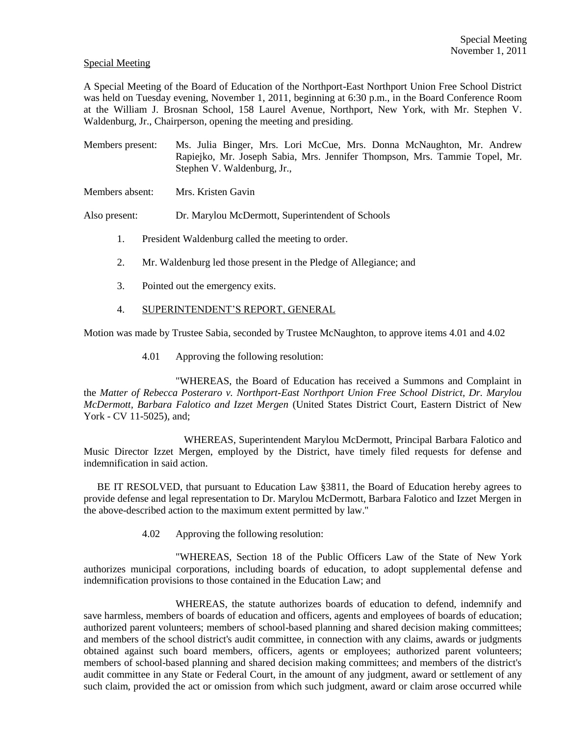## Special Meeting

A Special Meeting of the Board of Education of the Northport-East Northport Union Free School District was held on Tuesday evening, November 1, 2011, beginning at 6:30 p.m., in the Board Conference Room at the William J. Brosnan School, 158 Laurel Avenue, Northport, New York, with Mr. Stephen V. Waldenburg, Jr., Chairperson, opening the meeting and presiding.

Members present: Ms. Julia Binger, Mrs. Lori McCue, Mrs. Donna McNaughton, Mr. Andrew Rapiejko, Mr. Joseph Sabia, Mrs. Jennifer Thompson, Mrs. Tammie Topel, Mr. Stephen V. Waldenburg, Jr.,

Members absent: Mrs. Kristen Gavin

Also present: Dr. Marylou McDermott, Superintendent of Schools

- 1. President Waldenburg called the meeting to order.
- 2. Mr. Waldenburg led those present in the Pledge of Allegiance; and
- 3. Pointed out the emergency exits.
- 4. SUPERINTENDENT'S REPORT, GENERAL

Motion was made by Trustee Sabia, seconded by Trustee McNaughton, to approve items 4.01 and 4.02

4.01 Approving the following resolution:

"WHEREAS, the Board of Education has received a Summons and Complaint in the *Matter of Rebecca Posteraro v. Northport-East Northport Union Free School District, Dr. Marylou McDermott, Barbara Falotico and Izzet Mergen* (United States District Court, Eastern District of New York - CV 11-5025), and;

WHEREAS, Superintendent Marylou McDermott, Principal Barbara Falotico and Music Director Izzet Mergen, employed by the District, have timely filed requests for defense and indemnification in said action.

 BE IT RESOLVED, that pursuant to Education Law §3811, the Board of Education hereby agrees to provide defense and legal representation to Dr. Marylou McDermott, Barbara Falotico and Izzet Mergen in the above-described action to the maximum extent permitted by law."

4.02 Approving the following resolution:

"WHEREAS, Section 18 of the Public Officers Law of the State of New York authorizes municipal corporations, including boards of education, to adopt supplemental defense and indemnification provisions to those contained in the Education Law; and

WHEREAS, the statute authorizes boards of education to defend, indemnify and save harmless, members of boards of education and officers, agents and employees of boards of education; authorized parent volunteers; members of school-based planning and shared decision making committees; and members of the school district's audit committee, in connection with any claims, awards or judgments obtained against such board members, officers, agents or employees; authorized parent volunteers; members of school-based planning and shared decision making committees; and members of the district's audit committee in any State or Federal Court, in the amount of any judgment, award or settlement of any such claim, provided the act or omission from which such judgment, award or claim arose occurred while